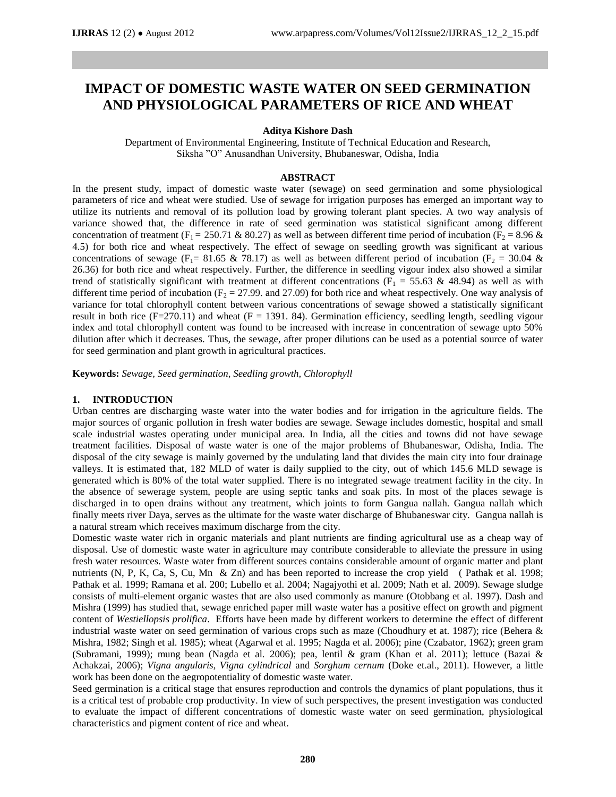# **IMPACT OF DOMESTIC WASTE WATER ON SEED GERMINATION AND PHYSIOLOGICAL PARAMETERS OF RICE AND WHEAT**

#### **Aditya Kishore Dash**

Department of Environmental Engineering, Institute of Technical Education and Research, Siksha "O" Anusandhan University, Bhubaneswar, Odisha, India

#### **ABSTRACT**

In the present study, impact of domestic waste water (sewage) on seed germination and some physiological parameters of rice and wheat were studied. Use of sewage for irrigation purposes has emerged an important way to utilize its nutrients and removal of its pollution load by growing tolerant plant species. A two way analysis of variance showed that, the difference in rate of seed germination was statistical significant among different concentration of treatment (F<sub>1</sub> = 250.71 & 80.27) as well as between different time period of incubation (F<sub>2</sub> = 8.96 & 4.5) for both rice and wheat respectively. The effect of sewage on seedling growth was significant at various concentrations of sewage (F<sub>1</sub>= 81.65 & 78.17) as well as between different period of incubation (F<sub>2</sub> = 30.04 & 26.36) for both rice and wheat respectively. Further, the difference in seedling vigour index also showed a similar trend of statistically significant with treatment at different concentrations ( $F_1 = 55.63 \& 48.94$ ) as well as with different time period of incubation ( $F_2 = 27.99$ . and 27.09) for both rice and wheat respectively. One way analysis of variance for total chlorophyll content between various concentrations of sewage showed a statistically significant result in both rice ( $F=270.11$ ) and wheat ( $F = 1391.84$ ). Germination efficiency, seedling length, seedling vigour index and total chlorophyll content was found to be increased with increase in concentration of sewage upto 50% dilution after which it decreases. Thus, the sewage, after proper dilutions can be used as a potential source of water for seed germination and plant growth in agricultural practices.

**Keywords:** *Sewage, Seed germination, Seedling growth, Chlorophyll*

#### **1. INTRODUCTION**

Urban centres are discharging waste water into the water bodies and for irrigation in the agriculture fields. The major sources of organic pollution in fresh water bodies are sewage. Sewage includes domestic, hospital and small scale industrial wastes operating under municipal area. In India, all the cities and towns did not have sewage treatment facilities. Disposal of waste water is one of the major problems of Bhubaneswar, Odisha, India. The disposal of the city sewage is mainly governed by the undulating land that divides the main city into four drainage valleys. It is estimated that, 182 MLD of water is daily supplied to the city, out of which 145.6 MLD sewage is generated which is 80% of the total water supplied. There is no integrated sewage treatment facility in the city. In the absence of sewerage system, people are using septic tanks and soak pits. In most of the places sewage is discharged in to open drains without any treatment, which joints to form Gangua nallah. Gangua nallah which finally meets river Daya, serves as the ultimate for the waste water discharge of Bhubaneswar city. Gangua nallah is a natural stream which receives maximum discharge from the city.

Domestic waste water rich in organic materials and plant nutrients are finding agricultural use as a cheap way of disposal. Use of domestic waste water in agriculture may contribute considerable to alleviate the pressure in using fresh water resources. Waste water from different sources contains considerable amount of organic matter and plant nutrients (N, P, K, Ca, S, Cu, Mn & Zn) and has been reported to increase the crop yield ( Pathak et al. 1998; Pathak et al. 1999; Ramana et al. 200; Lubello et al. 2004; Nagajyothi et al. 2009; Nath et al. 2009). Sewage sludge consists of multi-element organic wastes that are also used commonly as manure (Otobbang et al. 1997). Dash and Mishra (1999) has studied that, sewage enriched paper mill waste water has a positive effect on growth and pigment content of *Westiellopsis prolifica*. Efforts have been made by different workers to determine the effect of different industrial waste water on seed germination of various crops such as maze (Choudhury et at. 1987); rice (Behera & Mishra, 1982; Singh et al. 1985); wheat (Agarwal et al. 1995; Nagda et al. 2006); pine (Czabator, 1962); green gram (Subramani, 1999); mung bean (Nagda et al. 2006); pea, lentil & gram (Khan et al. 2011); lettuce (Bazai & Achakzai, 2006); *Vigna angularis, Vigna cylindrical* and *Sorghum cernum* (Doke et.al., 2011). However, a little work has been done on the aegropotentiality of domestic waste water.

Seed germination is a critical stage that ensures reproduction and controls the dynamics of plant populations, thus it is a critical test of probable crop productivity. In view of such perspectives, the present investigation was conducted to evaluate the impact of different concentrations of domestic waste water on seed germination, physiological characteristics and pigment content of rice and wheat.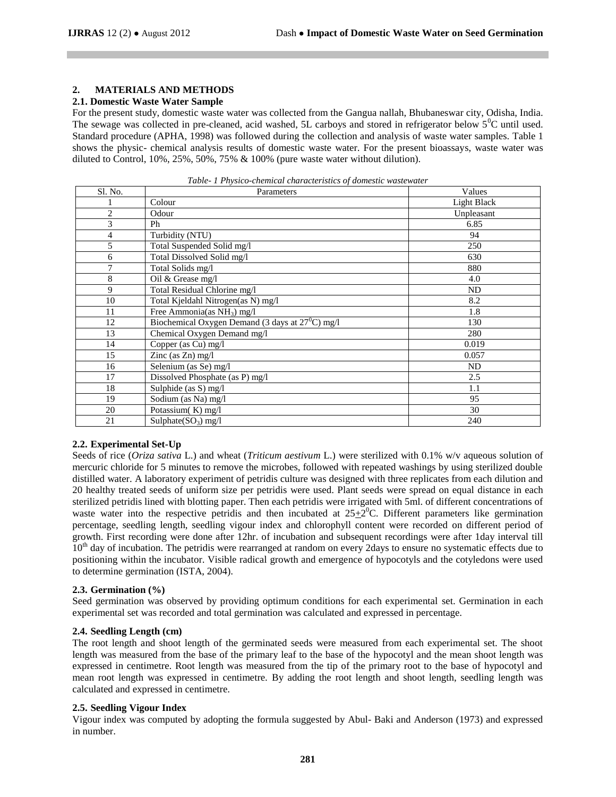### **2. MATERIALS AND METHODS**

### **2.1. Domestic Waste Water Sample**

For the present study, domestic waste water was collected from the Gangua nallah, Bhubaneswar city, Odisha, India. The sewage was collected in pre-cleaned, acid washed, 5L carboys and stored in refrigerator below  $5^{\circ}$ C until used. Standard procedure (APHA, 1998) was followed during the collection and analysis of waste water samples. Table 1 shows the physic- chemical analysis results of domestic waste water. For the present bioassays, waste water was diluted to Control, 10%, 25%, 50%, 75% & 100% (pure waste water without dilution).

| Sl. No.        | Parameters                                                | Values      |  |  |
|----------------|-----------------------------------------------------------|-------------|--|--|
|                | Colour                                                    | Light Black |  |  |
| $\overline{2}$ | Odour                                                     | Unpleasant  |  |  |
| 3              | Ph                                                        | 6.85        |  |  |
| 4              | Turbidity (NTU)                                           | 94          |  |  |
| 5              | Total Suspended Solid mg/l                                | 250         |  |  |
| 6              | Total Dissolved Solid mg/l                                | 630         |  |  |
| 7              | Total Solids mg/l                                         | 880         |  |  |
| 8              | Oil & Grease mg/l                                         | 4.0         |  |  |
| 9              | Total Residual Chlorine mg/l                              | ND          |  |  |
| 10             | Total Kjeldahl Nitrogen(as N) mg/l                        | 8.2         |  |  |
| 11             | Free Ammonia(as $NH_3$ ) mg/l                             | 1.8         |  |  |
| 12             | Biochemical Oxygen Demand (3 days at $27^{\circ}$ C) mg/l | 130         |  |  |
| 13             | Chemical Oxygen Demand mg/l                               | 280         |  |  |
| 14             | Copper (as Cu) mg/l                                       | 0.019       |  |  |
| 15             | Zinc (as Zn) mg/l                                         | 0.057       |  |  |
| 16             | Selenium (as Se) mg/l                                     | ND          |  |  |
| 17             | Dissolved Phosphate (as P) mg/l                           | 2.5         |  |  |
| 18             | Sulphide (as S) mg/l                                      | 1.1         |  |  |
| 19             | Sodium (as Na) mg/l                                       | 95          |  |  |
| 20             | Potassium(K) mg/l                                         | 30          |  |  |
| 21             | Sulphate $(SO_3)$ mg/l                                    | 240         |  |  |

*Table- 1 Physico-chemical characteristics of domestic wastewater*

### **2.2. Experimental Set-Up**

Seeds of rice (*Oriza sativa* L.) and wheat (*Triticum aestivum* L.) were sterilized with 0.1% w/v aqueous solution of mercuric chloride for 5 minutes to remove the microbes, followed with repeated washings by using sterilized double distilled water. A laboratory experiment of petridis culture was designed with three replicates from each dilution and 20 healthy treated seeds of uniform size per petridis were used. Plant seeds were spread on equal distance in each sterilized petridis lined with blotting paper. Then each petridis were irrigated with 5ml. of different concentrations of waste water into the respective petridis and then incubated at  $25\pm2$ <sup>0</sup>C. Different parameters like germination percentage, seedling length, seedling vigour index and chlorophyll content were recorded on different period of growth. First recording were done after 12hr. of incubation and subsequent recordings were after 1day interval till 10<sup>th</sup> day of incubation. The petridis were rearranged at random on every 2days to ensure no systematic effects due to positioning within the incubator. Visible radical growth and emergence of hypocotyls and the cotyledons were used to determine germination (ISTA, 2004).

# **2.3. Germination (%)**

Seed germination was observed by providing optimum conditions for each experimental set. Germination in each experimental set was recorded and total germination was calculated and expressed in percentage.

# **2.4. Seedling Length (cm)**

The root length and shoot length of the germinated seeds were measured from each experimental set. The shoot length was measured from the base of the primary leaf to the base of the hypocotyl and the mean shoot length was expressed in centimetre. Root length was measured from the tip of the primary root to the base of hypocotyl and mean root length was expressed in centimetre. By adding the root length and shoot length, seedling length was calculated and expressed in centimetre.

# **2.5. Seedling Vigour Index**

Vigour index was computed by adopting the formula suggested by Abul- Baki and Anderson (1973) and expressed in number.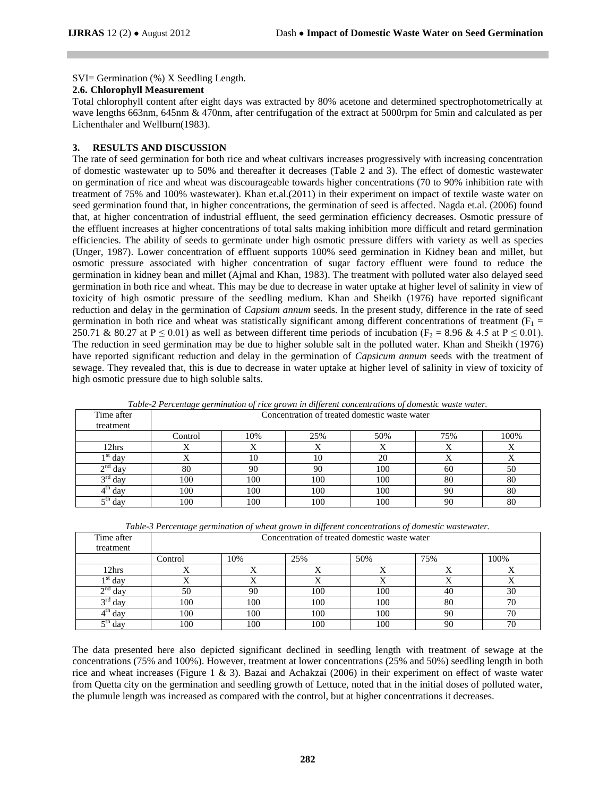SVI= Germination (%) X Seedling Length.

### **2.6. Chlorophyll Measurement**

Total chlorophyll content after eight days was extracted by 80% acetone and determined spectrophotometrically at wave lengths 663nm, 645nm & 470nm, after centrifugation of the extract at 5000rpm for 5min and calculated as per Lichenthaler and Wellburn(1983).

# **3. RESULTS AND DISCUSSION**

The rate of seed germination for both rice and wheat cultivars increases progressively with increasing concentration of domestic wastewater up to 50% and thereafter it decreases (Table 2 and 3). The effect of domestic wastewater on germination of rice and wheat was discourageable towards higher concentrations (70 to 90% inhibition rate with treatment of 75% and 100% wastewater). Khan et.al.(2011) in their experiment on impact of textile waste water on seed germination found that, in higher concentrations, the germination of seed is affected. Nagda et.al. (2006) found that, at higher concentration of industrial effluent, the seed germination efficiency decreases. Osmotic pressure of the effluent increases at higher concentrations of total salts making inhibition more difficult and retard germination efficiencies. The ability of seeds to germinate under high osmotic pressure differs with variety as well as species (Unger, 1987). Lower concentration of effluent supports 100% seed germination in Kidney bean and millet, but osmotic pressure associated with higher concentration of sugar factory effluent were found to reduce the germination in kidney bean and millet (Ajmal and Khan, 1983). The treatment with polluted water also delayed seed germination in both rice and wheat. This may be due to decrease in water uptake at higher level of salinity in view of toxicity of high osmotic pressure of the seedling medium. Khan and Sheikh (1976) have reported significant reduction and delay in the germination of *Capsium annum* seeds. In the present study, difference in the rate of seed germination in both rice and wheat was statistically significant among different concentrations of treatment ( $F_1$  = 250.71 & 80.27 at P  $\leq$  0.01) as well as between different time periods of incubation (F<sub>2</sub> = 8.96 & 4.5 at P  $\leq$  0.01). The reduction in seed germination may be due to higher soluble salt in the polluted water. Khan and Sheikh (1976) have reported significant reduction and delay in the germination of *Capsicum annum* seeds with the treatment of sewage. They revealed that, this is due to decrease in water uptake at higher level of salinity in view of toxicity of high osmotic pressure due to high soluble salts.

| Time after<br>treatment | Concentration of treated domestic waste water |     |     |     |     |      |  |
|-------------------------|-----------------------------------------------|-----|-----|-----|-----|------|--|
|                         | Control                                       | 10% | 25% | 50% | 75% | 100% |  |
| 12hrs                   |                                               | Δ   |     | ∡   | ∡   | △    |  |
| $\frac{1}{3}$ st day    |                                               | 10  | 10  | 20  |     |      |  |
| $\gamma$ nd<br>day      | 80                                            | 90  | 90  | 100 | 60  | 50   |  |
| $\gamma$ rd<br>day      | 100                                           | 100 | 100 | 100 | 80  | 80   |  |
| day                     | 100                                           | 100 | 100 | 100 | 90  | 80   |  |
| $\epsilon$ th<br>day    | 100                                           | 100 | 100 | 100 | 90  | 80   |  |

*Table-2 Percentage germination of rice grown in different concentrations of domestic waste water.*

|            | Table-3 Percentage germination of wheat grown in different concentrations of domestic wastewater. |
|------------|---------------------------------------------------------------------------------------------------|
| Time after | Concentration of treated domestic waste water                                                     |

| treatment              |           |           |     |           |           |           |
|------------------------|-----------|-----------|-----|-----------|-----------|-----------|
|                        | Control   | 10%       | 25% | 50%       | 75%       | 100%      |
| 12hrs                  | $\lambda$ | $\lambda$ | . . | $\lambda$ | $\lambda$ | $\lambda$ |
| $\sqrt[3]{\text{day}}$ |           |           |     |           |           |           |
| $\sim$ nd<br>day       | 50        | 90        | 100 | 100       | 40        | 30        |
| $\gamma$ rd<br>day     | 100       | 100       | 100 | 100       | 80        | 70        |
| day                    | 100       | 100       | 100 | 100       | 90        | 70        |
| cth<br>day             | 100       | 100       | 100 | 100       | 90        | 70        |

The data presented here also depicted significant declined in seedling length with treatment of sewage at the concentrations (75% and 100%). However, treatment at lower concentrations (25% and 50%) seedling length in both rice and wheat increases (Figure 1 & 3). Bazai and Achakzai (2006) in their experiment on effect of waste water from Quetta city on the germination and seedling growth of Lettuce, noted that in the initial doses of polluted water, the plumule length was increased as compared with the control, but at higher concentrations it decreases.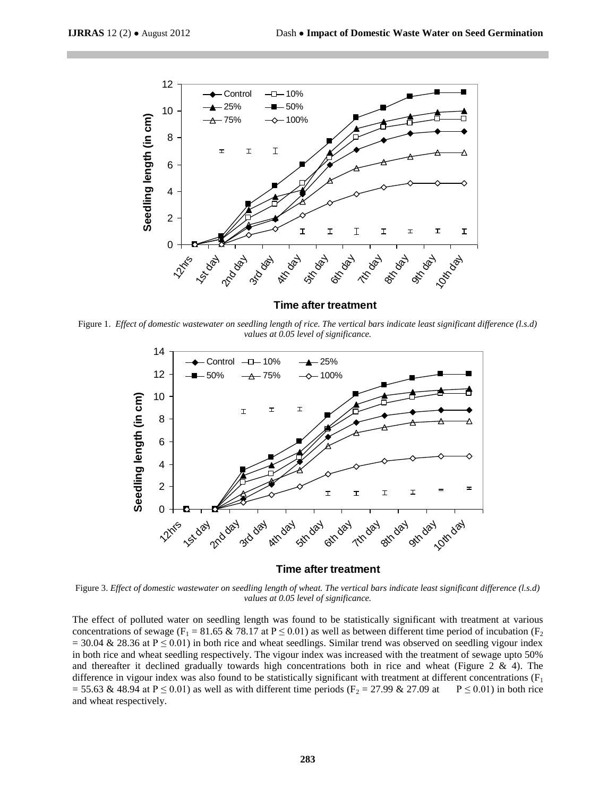

**Time after treatment**

Figure 1. *Effect of domestic wastewater on seedling length of rice. The vertical bars indicate least significant difference (l.s.d) values at 0.05 level of significance.*



#### **Time after treatment**

Figure 3. *Effect of domestic wastewater on seedling length of wheat. The vertical bars indicate least significant difference (l.s.d) values at 0.05 level of significance.*

The effect of polluted water on seedling length was found to be statistically significant with treatment at various concentrations of sewage (F<sub>1</sub> = 81.65 & 78.17 at P  $\leq$  0.01) as well as between different time period of incubation (F<sub>2</sub>)  $= 30.04 \& 28.36$  at P  $\leq 0.01$ ) in both rice and wheat seedlings. Similar trend was observed on seedling vigour index in both rice and wheat seedling respectively. The vigour index was increased with the treatment of sewage upto 50% and thereafter it declined gradually towards high concentrations both in rice and wheat (Figure 2  $\&$  4). The difference in vigour index was also found to be statistically significant with treatment at different concentrations  $(F<sub>1</sub>$ = 55.63 & 48.94 at P  $\leq$  0.01) as well as with different time periods (F<sub>2</sub> = 27.99 & 27.09 at P  $\leq$  0.01) in both rice and wheat respectively.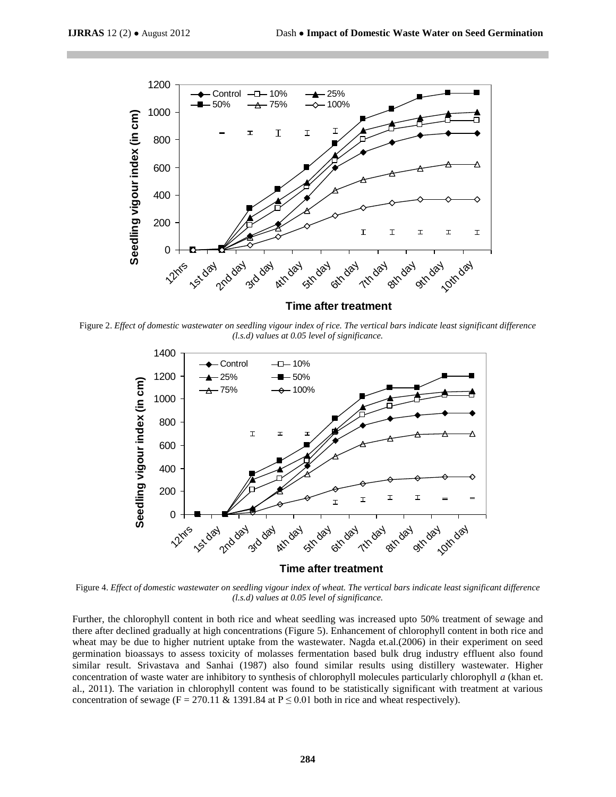

Figure 2. *Effect of domestic wastewater on seedling vigour index of rice. The vertical bars indicate least significant difference (l.s.d) values at 0.05 level of significance.*



**Time after treatment**

Figure 4. *Effect of domestic wastewater on seedling vigour index of wheat. The vertical bars indicate least significant difference (l.s.d) values at 0.05 level of significance.*

Further, the chlorophyll content in both rice and wheat seedling was increased upto 50% treatment of sewage and there after declined gradually at high concentrations (Figure 5). Enhancement of chlorophyll content in both rice and wheat may be due to higher nutrient uptake from the wastewater. Nagda et.al.(2006) in their experiment on seed germination bioassays to assess toxicity of molasses fermentation based bulk drug industry effluent also found similar result. Srivastava and Sanhai (1987) also found similar results using distillery wastewater. Higher concentration of waste water are inhibitory to synthesis of chlorophyll molecules particularly chlorophyll *a* (khan et. al., 2011). The variation in chlorophyll content was found to be statistically significant with treatment at various concentration of sewage (F = 270.11 & 1391.84 at  $P \le 0.01$  both in rice and wheat respectively).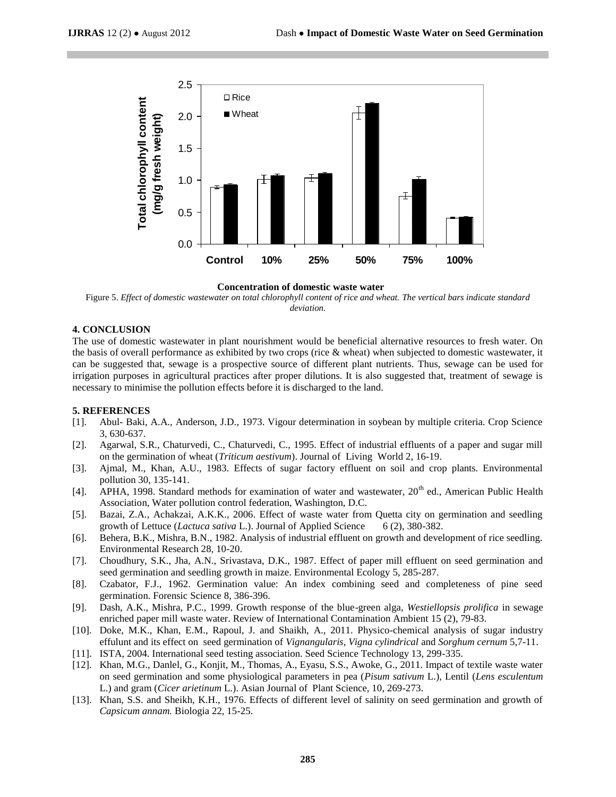

**Concentration of domestic waste water**

Figure 5. *Effect of domestic wastewater on total chlorophyll content of rice and wheat. The vertical bars indicate standard deviation.*

### **4. CONCLUSION**

The use of domestic wastewater in plant nourishment would be beneficial alternative resources to fresh water. On the basis of overall performance as exhibited by two crops (rice & wheat) when subjected to domestic wastewater, it can be suggested that, sewage is a prospective source of different plant nutrients. Thus, sewage can be used for irrigation purposes in agricultural practices after proper dilutions. It is also suggested that, treatment of sewage is necessary to minimise the pollution effects before it is discharged to the land.

#### **5. REFERENCES**

- [1]. Abul- Baki, A.A., Anderson, J.D., 1973. Vigour determination in soybean by multiple criteria. Crop Science 3, 630-637.
- [2]. Agarwal, S.R., Chaturvedi, C., Chaturvedi, C., 1995. Effect of industrial effluents of a paper and sugar mill on the germination of wheat (*Triticum aestivum*). Journal of Living World 2, 16-19.
- [3]. Ajmal, M., Khan, A.U., 1983. Effects of sugar factory effluent on soil and crop plants. Environmental pollution 30, 135-141.
- [4]. APHA, 1998. Standard methods for examination of water and wastewater, 20<sup>th</sup> ed., American Public Health Association, Water pollution control federation, Washington, D.C.
- [5]. Bazai, Z.A., Achakzai, A.K.K., 2006. Effect of waste water from Quetta city on germination and seedling growth of Lettuce (*Lactuca sativa* L.). Journal of Applied Science 6 (2), 380-382.
- [6]. Behera, B.K., Mishra, B.N., 1982. Analysis of industrial effluent on growth and development of rice seedling. Environmental Research 28, 10-20.
- [7]. Choudhury, S.K., Jha, A.N., Srivastava, D.K., 1987. Effect of paper mill effluent on seed germination and seed germination and seedling growth in maize. Environmental Ecology 5, 285-287.
- [8]. Czabator, F.J., 1962. Germination value: An index combining seed and completeness of pine seed germination. Forensic Science 8, 386-396.
- [9]. Dash, A.K., Mishra, P.C., 1999. Growth response of the blue-green alga, *Westiellopsis prolifica* in sewage enriched paper mill waste water. Review of International Contamination Ambient 15 (2), 79-83.
- [10]. Doke, M.K., Khan, E.M., Rapoul, J. and Shaikh, A., 2011. Physico-chemical analysis of sugar industry effulunt and its effect on seed germination of *Vignangularis, Vigna cylindrical* and *Sorghum cernum* 5,7-11.
- [11]. ISTA, 2004. International seed testing association. Seed Science Technology 13, 299-335.
- [12]. Khan, M.G., Danlel, G., Konjit, M., Thomas, A., Eyasu, S.S., Awoke, G., 2011. Impact of textile waste water on seed germination and some physiological parameters in pea (*Pisum sativum* L.), Lentil (*Lens esculentum* L.) and gram (*Cicer arietinum* L.). Asian Journal of Plant Science, 10, 269-273.
- [13]. Khan, S.S. and Sheikh, K.H., 1976. Effects of different level of salinity on seed germination and growth of *Capsicum annam.* Biologia 22, 15-25.